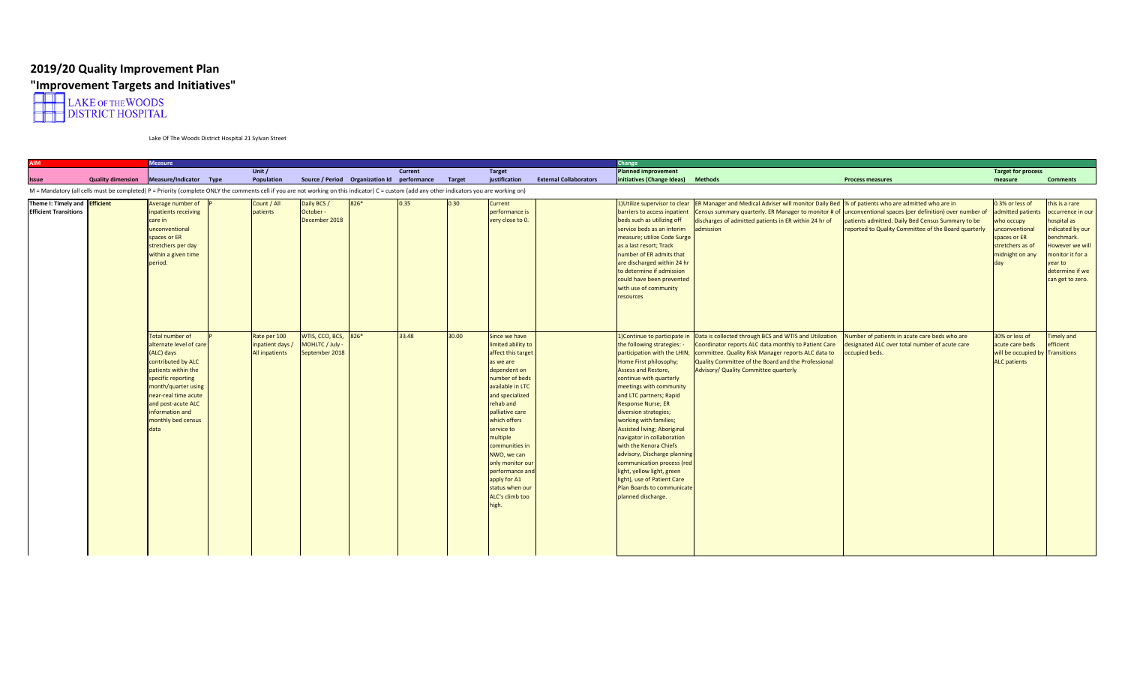## **2019/20 Quality Improvement Plan**



Lake Of The Woods District Hospital 21 Sylvan Street

| <b>AIM</b>                                                    |                          | <b>Measure</b>                                                                                                                                                                                                                                    |                                                    |                                                           |                                             |         |        |                                                                                                                                                                                                                                                                                                                                                                  |                               | Change                                                                                                                                                                                                                                                                                                                                                                                                                                                                                                                                                                                     |                                                                                                                                                                                                                                                                       |                                                                                                                                                                                                               |                                                                                                                             |                                                                                                                                                                             |
|---------------------------------------------------------------|--------------------------|---------------------------------------------------------------------------------------------------------------------------------------------------------------------------------------------------------------------------------------------------|----------------------------------------------------|-----------------------------------------------------------|---------------------------------------------|---------|--------|------------------------------------------------------------------------------------------------------------------------------------------------------------------------------------------------------------------------------------------------------------------------------------------------------------------------------------------------------------------|-------------------------------|--------------------------------------------------------------------------------------------------------------------------------------------------------------------------------------------------------------------------------------------------------------------------------------------------------------------------------------------------------------------------------------------------------------------------------------------------------------------------------------------------------------------------------------------------------------------------------------------|-----------------------------------------------------------------------------------------------------------------------------------------------------------------------------------------------------------------------------------------------------------------------|---------------------------------------------------------------------------------------------------------------------------------------------------------------------------------------------------------------|-----------------------------------------------------------------------------------------------------------------------------|-----------------------------------------------------------------------------------------------------------------------------------------------------------------------------|
|                                                               |                          |                                                                                                                                                                                                                                                   | Unit /                                             |                                                           |                                             | Current |        | <b>Target</b>                                                                                                                                                                                                                                                                                                                                                    |                               | <b>Planned improvement</b>                                                                                                                                                                                                                                                                                                                                                                                                                                                                                                                                                                 |                                                                                                                                                                                                                                                                       |                                                                                                                                                                                                               | <b>Target for process</b>                                                                                                   |                                                                                                                                                                             |
| Issue                                                         | <b>Quality dimension</b> | Measure/Indicator Type                                                                                                                                                                                                                            | Population                                         |                                                           | Source / Period Organization Id performance |         | Target | justification                                                                                                                                                                                                                                                                                                                                                    | <b>External Collaborators</b> | initiatives (Change Ideas)                                                                                                                                                                                                                                                                                                                                                                                                                                                                                                                                                                 | <b>Methods</b>                                                                                                                                                                                                                                                        | <b>Process measures</b>                                                                                                                                                                                       | measure                                                                                                                     | <b>Comments</b>                                                                                                                                                             |
|                                                               |                          | M = Mandatory (all cells must be completed) P = Priority (complete ONLY the comments cell if you are not working on this indicator) C = custom (add any other indicators you are working on)                                                      |                                                    |                                                           |                                             |         |        |                                                                                                                                                                                                                                                                                                                                                                  |                               |                                                                                                                                                                                                                                                                                                                                                                                                                                                                                                                                                                                            |                                                                                                                                                                                                                                                                       |                                                                                                                                                                                                               |                                                                                                                             |                                                                                                                                                                             |
| Theme I: Timely and Efficient<br><b>Efficient Transitions</b> |                          | Average number of<br>inpatients receiving<br>care in<br>unconventional<br>spaces or ER<br>stretchers per day<br>within a given time<br>period.                                                                                                    | Count / All<br>patients                            | Daily BCS /<br>October -<br>December 2018                 | 826*                                        | 0.35    | 0.30   | Current<br>performance is<br>very close to 0.                                                                                                                                                                                                                                                                                                                    |                               | 1) Utilize supervisor to clear<br>barriers to access inpatient<br>beds such as utilizing off<br>service beds as an interim<br>measure; utilize Code Surge<br>as a last resort; Track<br>number of ER admits that<br>are discharged within 24 hr<br>to determine if admission<br>could have been prevented<br>with use of community<br>resources                                                                                                                                                                                                                                            | <b>ER Manager and Medical Adviser will monitor Daily Bed</b><br>Census summary quarterly. ER Manager to monitor # of<br>discharges of admitted patients in ER within 24 hr of<br>admission                                                                            | % of patients who are admitted who are in<br>unconventional spaces (per definition) over number of<br>atients admitted. Daily Bed Census Summary to be<br>eported to Quality Committee of the Board quarterly | 0.3% or less of<br>admitted patient:<br>who occupy<br>unconventional<br>spaces or ER<br>stretchers as of<br>midnight on any | this is a rare<br>ccurrence in our<br>hospital as<br>indicated by our<br>benchmark.<br>lowever we will<br>nonitor it for a<br>ear to<br>determine if we<br>can get to zero. |
|                                                               |                          | Total number of<br>alternate level of care<br>(ALC) days<br>contributed by ALC<br>patients within the<br>specific reporting<br>month/quarter using<br>near-real time acute<br>and post-acute ALC<br>information and<br>monthly bed census<br>data | Rate per 100<br>inpatient days /<br>All inpatients | WTIS, CCO, BCS, 826*<br>MOHLTC / July -<br>September 2018 |                                             | 33.48   | 30.00  | Since we have<br>limited ability to<br>affect this target<br>as we are<br>dependent on<br>number of beds<br>available in LTC<br>and specialized<br>rehab and<br>palliative care<br>which offers<br>service to<br>multiple<br>communities in<br>NWO, we can<br>only monitor our<br>performance and<br>apply for A1<br>status when our<br>ALC's climb too<br>high. |                               | 1)Continue to participate in<br>the following strategies: -<br>participation with the LHIN;<br>Home First philosophy;<br>Assess and Restore,<br>continue with quarterly<br>meetings with community<br>and LTC partners; Rapid<br><b>Response Nurse; ER</b><br>diversion strategies;<br>working with families;<br><b>Assisted living; Aboriginal</b><br>navigator in collaboration<br>with the Kenora Chiefs<br>advisory, Discharge planning<br>communication process (red<br>light, yellow light, green<br>light), use of Patient Care<br>Plan Boards to communicate<br>planned discharge. | Data is collected through BCS and WTIS and Utilization<br>Coordinator reports ALC data monthly to Patient Care<br>committee. Quality Risk Manager reports ALC data to<br>Quality Committee of the Board and the Professional<br>Advisory/ Quality Committee quarterly | Number of patients in acute care beds who are<br>lesignated ALC over total number of acute care<br>ccupied beds.                                                                                              | 30% or less of<br>acute care beds<br>will be occupied by Transitions<br><b>ALC</b> patients                                 | Timely and<br><b>fficient</b>                                                                                                                                               |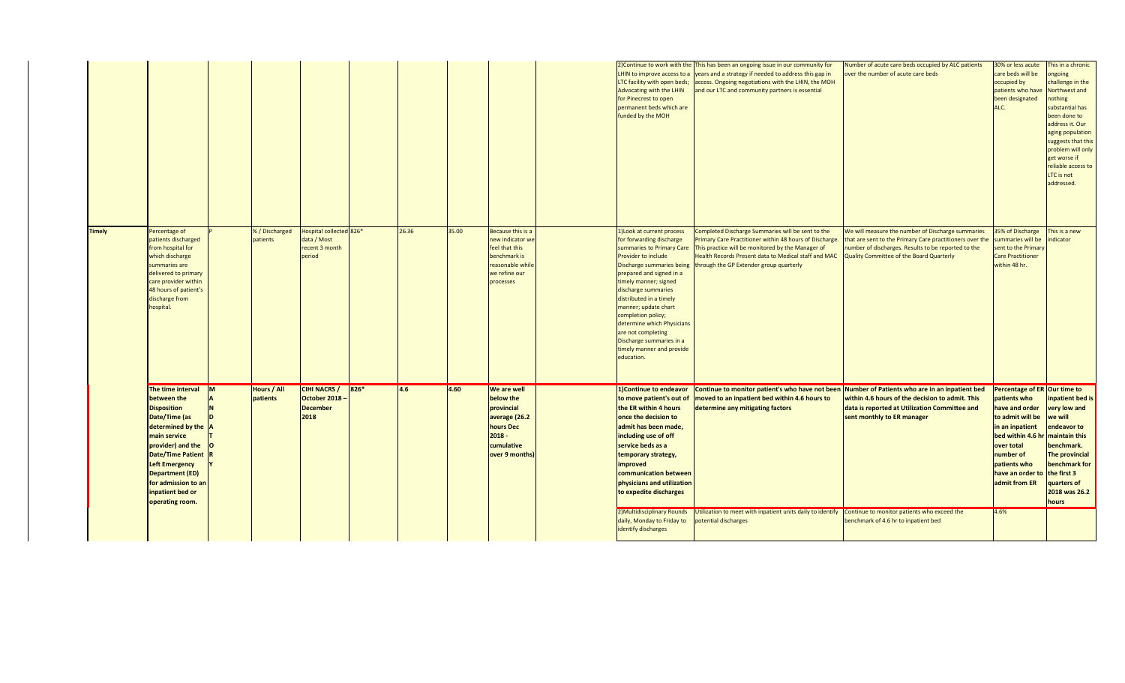|               |                                                                                                                                                                                                                                                                                  |          |                                |                                                                    |      |       |       |                                                                                                                         | LTC facility with open beds;<br>Advocating with the LHIN<br>for Pinecrest to open<br>permanent beds which are<br>funded by the MOH                                                                                                                                                                                                                                                                                      | 2) Continue to work with the This has been an ongoing issue in our community for<br>LHIN to improve access to a vears and a strategy if needed to address this gap in<br>access. Ongoing negotiations with the LHIN, the MOH<br>and our LTC and community partners is essential               | Number of acute care beds occupied by ALC patients<br>over the number of acute care beds                                                                                                                         | 30% or less acute<br>care beds will be<br>occupied by<br>patients who have<br>been designated<br>ALC.                                                                                                                            | This in a chronic<br>ngoing<br>challenge in the<br>Northwest and<br><b>othing</b><br>substantial has<br>been done to<br>address it. Our<br>aging population<br>suggests that this<br>problem will only<br>get worse if<br>reliable access to<br>LTC is not<br>addressed. |
|---------------|----------------------------------------------------------------------------------------------------------------------------------------------------------------------------------------------------------------------------------------------------------------------------------|----------|--------------------------------|--------------------------------------------------------------------|------|-------|-------|-------------------------------------------------------------------------------------------------------------------------|-------------------------------------------------------------------------------------------------------------------------------------------------------------------------------------------------------------------------------------------------------------------------------------------------------------------------------------------------------------------------------------------------------------------------|-----------------------------------------------------------------------------------------------------------------------------------------------------------------------------------------------------------------------------------------------------------------------------------------------|------------------------------------------------------------------------------------------------------------------------------------------------------------------------------------------------------------------|----------------------------------------------------------------------------------------------------------------------------------------------------------------------------------------------------------------------------------|--------------------------------------------------------------------------------------------------------------------------------------------------------------------------------------------------------------------------------------------------------------------------|
| <b>Timely</b> | Percentage of<br>patients discharged<br>from hospital for<br>which discharge<br>summaries are<br>delivered to primary<br>care provider within<br>48 hours of patient's<br>discharge from<br>hospital.                                                                            |          | % / Discharged<br>patients     | Hospital collected 826*<br>data / Most<br>recent 3 month<br>period |      | 26.36 | 35.00 | Because this is a<br>new indicator w<br>feel that this<br>benchmark is<br>reasonable whil<br>we refine our<br>processes | 1) Look at current process<br>for forwarding discharge<br>summaries to Primary Care<br>Provider to include<br>Discharge summaries being<br>prepared and signed in a<br>timely manner; signed<br>discharge summaries<br>distributed in a timely<br>manner; update chart<br>completion policy;<br>determine which Physicians<br>are not completing<br>Discharge summaries in a<br>timely manner and provide<br>education. | Completed Discharge Summaries will be sent to the<br>rimary Care Practitioner within 48 hours of Discharge.<br>This practice will be monitored by the Manager of<br>Health Records Present data to Medical staff and MAC<br>through the GP Extender group quarterly                           | We will measure the number of Discharge summaries<br>that are sent to the Primary Care practitioners over the<br>number of discharges. Results to be reported to the<br>Quality Committee of the Board Quarterly | 35% of Discharge<br>ummaries will be<br>sent to the Primary<br><b>Care Practitioner</b><br>within 48 hr.                                                                                                                         | This is a new<br>dicator                                                                                                                                                                                                                                                 |
|               | The time interval<br>between the<br><b>Disposition</b><br>Date/Time (as<br>determined by the A<br>main service<br>provider) and the<br><b>Date/Time Patient</b><br><b>Left Emergency</b><br><b>Department (ED)</b><br>for admission to ar<br>inpatient bed or<br>operating room. | <b>M</b> | <b>Hours / All</b><br>patients | <b>CIHI NACRS /</b><br>October 2018<br><b>December</b><br>2018     | 826* | 4.6   | 4.60  | We are well<br>below the<br>provincial<br>average (26.2<br>hours Dec<br>$2018 -$<br>cumulative<br>over 9 months         | 1) Continue to endeavor<br>to move patient's out of<br>the ER within 4 hours<br>once the decision to<br>admit has been made,<br>including use of off<br>service beds as a<br>temporary strategy,<br><i>improved</i><br>communication between<br>physicians and utilization<br>to expedite discharges<br>2) Multidisciplinary Rounds                                                                                     | Continue to monitor patient's who have not been Number of Patients who are in an inpatient bed<br>moved to an inpatient bed within 4.6 hours to<br>determine any mitigating factors<br>Utilization to meet with inpatient units daily to identify Continue to monitor patients who exceed the | within 4.6 hours of the decision to admit. This<br>data is reported at Utilization Committee and<br>sent monthly to ER manager                                                                                   | Percentage of ER Our time to<br>patients who<br>have and order<br>to admit will be<br>in an inpatient<br>bed within 4.6 hr maintain this<br>over total<br>number of<br>patients who<br>have an order to<br>admit from ER<br>4.6% | inpatient bed is<br>very low and<br>we will<br>endeavor to<br>benchmark.<br><b>The provincial</b><br>benchmark for<br>the first 3<br>quarters of<br>2018 was 26.2<br>hours                                                                                               |
|               |                                                                                                                                                                                                                                                                                  |          |                                |                                                                    |      |       |       |                                                                                                                         | daily, Monday to Friday to<br>identify discharges                                                                                                                                                                                                                                                                                                                                                                       | otential discharges                                                                                                                                                                                                                                                                           | benchmark of 4.6 hr to inpatient bed                                                                                                                                                                             |                                                                                                                                                                                                                                  |                                                                                                                                                                                                                                                                          |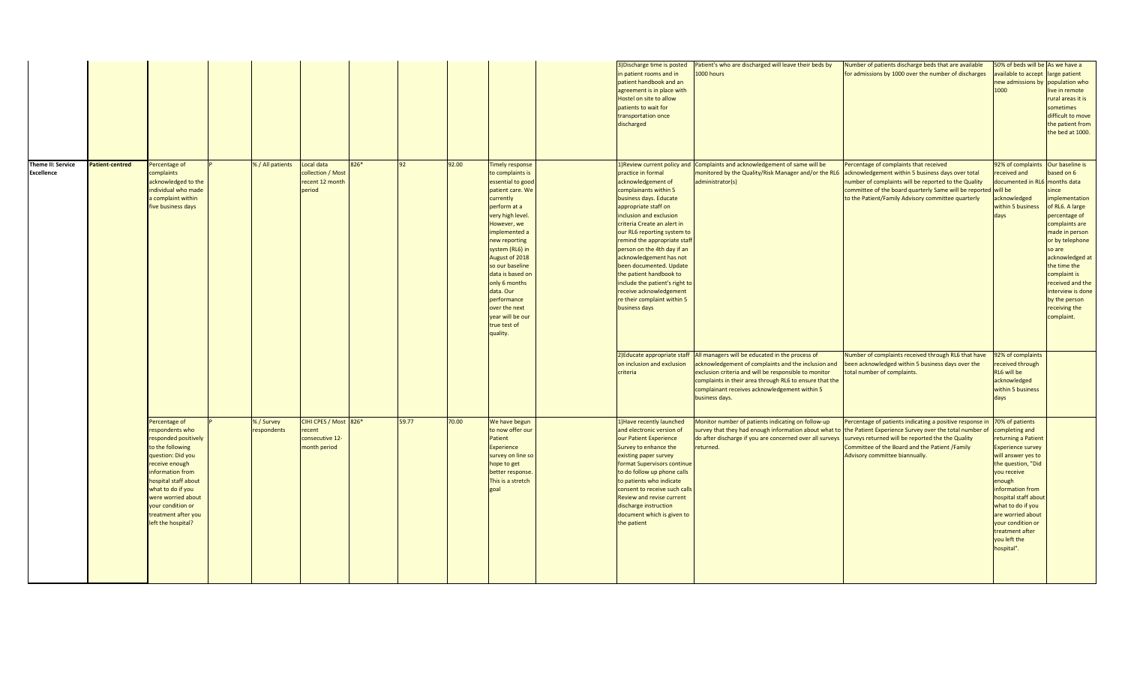|                                        |                        |                                                                                                                                                                                                                                                                              |                           |                                                                    |      |       |       |                                                                                                                                                                                                                                                                                                                                                                          | 3) Discharge time is posted<br>in patient rooms and in<br>patient handbook and an<br>agreement is in place with<br>Hostel on site to allow<br>patients to wait for<br>transportation once<br>discharged                                                                                                                                                                                                                                                                                                                                                                            | Patient's who are discharged will leave their beds by<br>000 hours                                                                                                                                                                                                                                          | Number of patients discharge beds that are available<br>for admissions by 1000 over the number of discharges                                                                                                                                                                                                                                                                                                           | 50% of beds will be As we have a<br>available to accept<br>new admissions by<br>1000                                                                                                                                                                                                                                                            | large patient<br>population who<br>live in remote<br>rural areas it is<br>sometimes<br>difficult to move<br>the patient from<br>the bed at 1000.                                                                                                                                                                         |
|----------------------------------------|------------------------|------------------------------------------------------------------------------------------------------------------------------------------------------------------------------------------------------------------------------------------------------------------------------|---------------------------|--------------------------------------------------------------------|------|-------|-------|--------------------------------------------------------------------------------------------------------------------------------------------------------------------------------------------------------------------------------------------------------------------------------------------------------------------------------------------------------------------------|------------------------------------------------------------------------------------------------------------------------------------------------------------------------------------------------------------------------------------------------------------------------------------------------------------------------------------------------------------------------------------------------------------------------------------------------------------------------------------------------------------------------------------------------------------------------------------|-------------------------------------------------------------------------------------------------------------------------------------------------------------------------------------------------------------------------------------------------------------------------------------------------------------|------------------------------------------------------------------------------------------------------------------------------------------------------------------------------------------------------------------------------------------------------------------------------------------------------------------------------------------------------------------------------------------------------------------------|-------------------------------------------------------------------------------------------------------------------------------------------------------------------------------------------------------------------------------------------------------------------------------------------------------------------------------------------------|--------------------------------------------------------------------------------------------------------------------------------------------------------------------------------------------------------------------------------------------------------------------------------------------------------------------------|
| Theme II: Service<br><b>Excellence</b> | <b>Patient-centred</b> | Percentage of<br>complaints<br>acknowledged to the<br>individual who made<br>complaint within<br>five business days                                                                                                                                                          | % / All patients          | Local data<br>collection / Most<br>recent 12 month<br>period       | 826* | 92    | 92.00 | Timely response<br>to complaints is<br>essential to good<br>patient care. We<br>currently<br>perform at a<br>very high level.<br>However, we<br>implemented a<br>new reporting<br>system (RL6) in<br>August of 2018<br>so our baseline<br>data is based or<br>only 6 months<br>data. Our<br>performance<br>over the next<br>year will be our<br>true test of<br>quality. | 1) Review current policy and<br>practice in formal<br>acknowledgement of<br>complainants within 5<br>business days. Educate<br>appropriate staff on<br>inclusion and exclusion<br>criteria Create an alert in<br>our RL6 reporting system to<br>remind the appropriate staf<br>person on the 4th day if an<br>acknowledgement has not<br>been documented. Update<br>the patient handbook to<br>include the patient's right to<br>receive acknowledgement<br>re their complaint within 5<br>business days<br>2) Educate appropriate staff<br>on inclusion and exclusion<br>criteria | Complaints and acknowledgement of same will be<br>nonitored by the Quality/Risk Manager and/or the RL6<br>administrator(s)<br>All managers will be educated in the process of<br>acknowledgement of complaints and the inclusion and<br>exclusion criteria and will be responsible to monitor               | Percentage of complaints that received<br>acknowledgement within 5 business days over total<br>number of complaints will be reported to the Quality<br>committee of the board quarterly Same will be reported will be<br>to the Patient/Family Advisory committee quarterly<br>Number of complaints received through RL6 that have<br>been acknowledged within 5 business days over the<br>total number of complaints. | 92% of complaints<br>eceived and<br>documented in RL<br>acknowledged<br>within 5 business<br>days<br>92% of complaints<br>eceived through<br>RL6 will be                                                                                                                                                                                        | Our baseline is<br>based on 6<br>months data<br>since<br>implementation<br>of RL6. A large<br>percentage of<br>complaints are<br>made in person<br>or by telephone<br>so are<br>acknowledged at<br>the time the<br>complaint is<br>received and the<br>interview is done<br>by the person<br>receiving the<br>complaint. |
|                                        |                        | Percentage of<br>respondents who<br>responded positively<br>to the following<br>question: Did you<br>receive enough<br>information from<br>hospital staff about<br>what to do if you<br>were worried about<br>your condition or<br>treatment after you<br>left the hospital? | % / Survey<br>respondents | CIHI CPES / Most 826*<br>recent<br>consecutive 12-<br>month period |      | 59.77 | 70.00 | We have begun<br>to now offer our<br>Patient<br>Experience<br>survey on line so<br>hope to get<br>better response<br>This is a stretch<br>goal                                                                                                                                                                                                                           | 1) Have recently launched<br>and electronic version of<br>our Patient Experience<br>Survey to enhance the<br>existing paper survey<br>format Supervisors continue<br>to do follow up phone calls<br>to patients who indicate<br>consent to receive such calls<br>Review and revise current<br>discharge instruction<br>document which is given to<br>the patient                                                                                                                                                                                                                   | complaints in their area through RL6 to ensure that the<br>complainant receives acknowledgement within 5<br>business days.<br>Monitor number of patients indicating on follow-up<br>do after discharge if you are concerned over all surveys surveys returned will be reported the the Quality<br>returned. | Percentage of patients indicating a positive response in 70% of patients<br>survey that they had enough information about what to the Patient Experience Survey over the total number of<br>Committee of the Board and the Patient /Family<br>Advisory committee biannually.                                                                                                                                           | acknowledged<br>within 5 business<br>days<br>completing and<br>returning a Patient<br><b>Experience survey</b><br>will answer yes to<br>the question, "Did<br>you receive<br>enough<br>information from<br>hospital staff about<br>what to do if you<br>are worried about<br>your condition or<br>treatment after<br>you left the<br>hospital". |                                                                                                                                                                                                                                                                                                                          |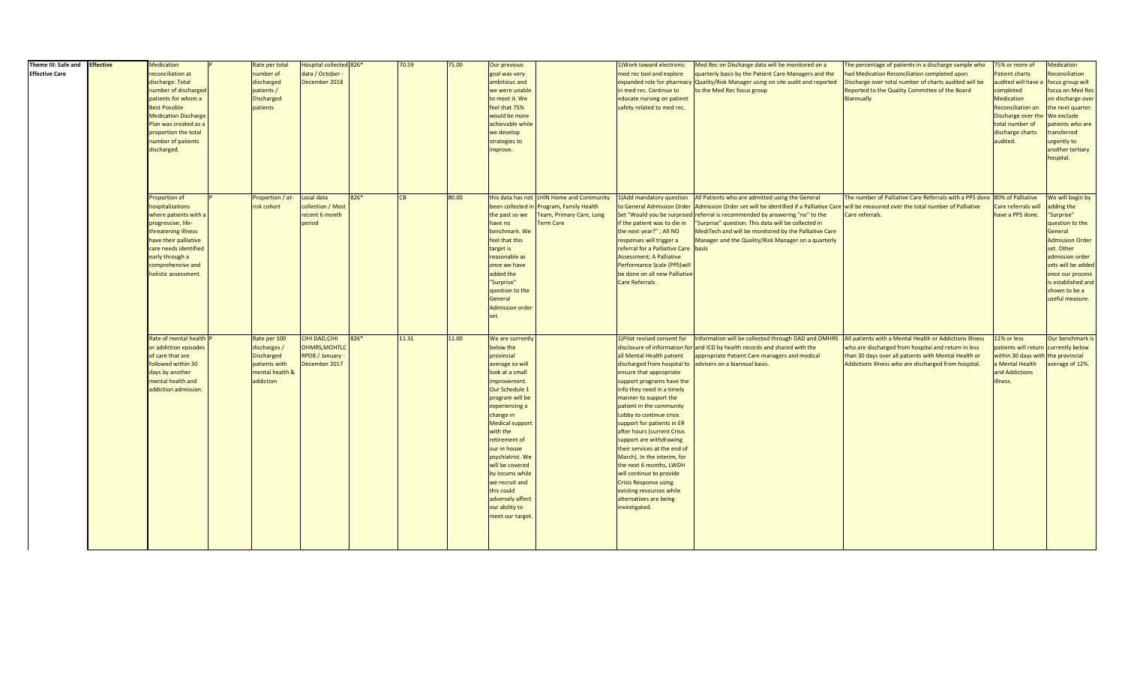| Theme III: Safe and<br><b>Effective Care</b> | <b>Effective</b> | Medication<br>reconciliation at<br>discharge: Total<br>number of discharged<br>patients for whom a<br><b>Best Possible</b><br><b>Medication Discharge</b><br>Plan was created as a<br>proportion the total<br>number of patients<br>discharged. | Rate per total<br>number of<br>discharged<br>patients /<br><b>Discharged</b><br>patients           | lospital collected 826*<br>data / October<br>December 2018                |      | 70.59     | 75.00 | Our previous<br>goal was very<br>ambitious and<br>we were unable<br>to meet it. We<br>feel that 75%<br>would be more<br>achievable while<br>we develop<br>strategies to<br>improve.                                                                                                                                                                                                             |                                                                                                                                       | L) Work toward electronic<br>med rec tool and explore<br>in med rec. Continue to<br>educate nursing on patient<br>safety related to med rec.                                                                                                                                                                                                                                                                                                                                                                                                          | Med Rec on Discharge data will be monitored on a<br>quarterly basis by the Patient Care Managers and the<br>expanded role for pharmacy Quality/Risk Manager using on site audit and reported<br>to the Med Rec focus group                                                                                                                                                                                                                                                      | The percentage of patients in a discharge sample who<br>had Medication Reconciliation completed upon<br>Discharge over total number of charts audited will be<br>Reported to the Quality Committee of the Board<br>Biannually  | 75% or more of<br>Patient charts<br>audited will have<br>completed<br>Medication<br><b>Reconciliation on</b><br>Discharge over th<br>total number of<br>discharge charts<br>audited. | Medication<br>Reconciliation<br>ocus group will<br>focus on Med Rec<br>on discharge over<br>the next quarter.<br>We exclude<br>atients who are<br>ransferred<br>urgently to<br>another tertiary<br>hospital.                              |
|----------------------------------------------|------------------|-------------------------------------------------------------------------------------------------------------------------------------------------------------------------------------------------------------------------------------------------|----------------------------------------------------------------------------------------------------|---------------------------------------------------------------------------|------|-----------|-------|-------------------------------------------------------------------------------------------------------------------------------------------------------------------------------------------------------------------------------------------------------------------------------------------------------------------------------------------------------------------------------------------------|---------------------------------------------------------------------------------------------------------------------------------------|-------------------------------------------------------------------------------------------------------------------------------------------------------------------------------------------------------------------------------------------------------------------------------------------------------------------------------------------------------------------------------------------------------------------------------------------------------------------------------------------------------------------------------------------------------|---------------------------------------------------------------------------------------------------------------------------------------------------------------------------------------------------------------------------------------------------------------------------------------------------------------------------------------------------------------------------------------------------------------------------------------------------------------------------------|--------------------------------------------------------------------------------------------------------------------------------------------------------------------------------------------------------------------------------|--------------------------------------------------------------------------------------------------------------------------------------------------------------------------------------|-------------------------------------------------------------------------------------------------------------------------------------------------------------------------------------------------------------------------------------------|
|                                              |                  | Proportion of<br>hospitalizations<br>where patients with a<br>progressive, life-<br>threatening illness<br>have their palliative<br>care needs identified<br>early through a<br>comprehensive and<br>holistic assessment.                       | Proportion / at-<br>risk cohort                                                                    | Local data<br>collection / Most<br>recent 6 month<br>period               | 826* | <b>CB</b> | 80.00 | the past so we<br>have no<br>benchmark. We<br>feel that this<br>target is<br>reasonable as<br>once we have<br>added the<br>"Surprise"<br>question to the<br>General<br><b>Admission order</b><br>set.                                                                                                                                                                                           | this data has not LHIN Home and Community<br>been collected in Program, Family Health<br>Team, Primary Care, Long<br><b>Term Care</b> | if the patient was to die in<br>the next year?"; All NO<br>responses will trigger a<br>referral for a Palliative Care basis<br><b>Assessment; A Palliative</b><br>Performance Scale (PPS) wil<br>be done on all new Palliative<br>Care Referrals.                                                                                                                                                                                                                                                                                                     | 1) Add mandatory question All Patients who are admitted using the General<br>to General Admission Order Admission Order set will be identified if a Palliative Care will be measured over the total number of Palliative<br>Set "Would you be surprised referral is recommended by answering "no" to the<br>"Surprise" question. This data will be collected in<br>MediTech and will be monitored by the Palliative Care<br>Manager and the Quality/Risk Manager on a quarterly | The number of Palliative Care Referrals with a PPS done<br>Care referrals.                                                                                                                                                     | 80% of Palliative<br>Care referrals will<br>have a PPS done.                                                                                                                         | We will begin by<br>adding the<br>'Surprise"<br>question to the<br>General<br><b>Admission Order</b><br>set. Other<br>admission order<br>sets will be added<br>once our process<br>is established and<br>shown to be a<br>useful measure. |
|                                              |                  | Rate of mental health<br>or addiction episodes<br>of care that are<br>followed within 30<br>days by another<br>nental health and<br>addiction admission.                                                                                        | Rate per 100<br>discharges /<br><b>Discharged</b><br>patients with<br>mental health &<br>addiction | CIHI DAD, CIHI<br><b>OHMRS, MOHTLO</b><br>RPDB / January<br>December 2017 | 826* | 11.31     | 11.00 | We are currently<br>below the<br>provincial<br>average so will<br>look at a small<br>improvement.<br>Our Schedule 1<br>program will be<br>experiencing a<br>change in<br><b>Medical support</b><br>with the<br>retirement of<br>our in house<br>psychiatrist. We<br>will be covered<br>by locums while<br>we recruit and<br>this could<br>adversely affect<br>our ability to<br>meet our target |                                                                                                                                       | 1) Pilot revised consent for<br>all Mental Health patient<br>ensure that appropriate<br>support programs have the<br>info they need in a timely<br>manner to support the<br>patient in the community<br>Lobby to continue crisis<br>support for patients in ER<br>after hours (current Crisis<br>support are withdrawing<br>their services at the end of<br>March). In the interim, for<br>the next 6 months, LWDH<br>will continue to provide<br><b>Crisis Response using</b><br>existing resources while<br>alternatives are being<br>investigated. | Information will be collected through DAD and OMHRS<br>disclosure of information for and ICD by health records and shared with the<br>appropriate Patient Care managers and medical<br>discharged from hospital to advisers on a biannual basis.                                                                                                                                                                                                                                | All patients with a Mental Health or Addictions Illness<br>who are discharged from hospital and return in less<br>than 30 days over all patients with Mental Health or<br>Addictions Illness who are discharged from hospital. | 11% or less<br>patients will return<br>within 30 days with<br>a Mental Health<br>and Addictions<br>illness.                                                                          | Our benchmark is<br>currently below<br>the provincial<br>average of 12%.                                                                                                                                                                  |